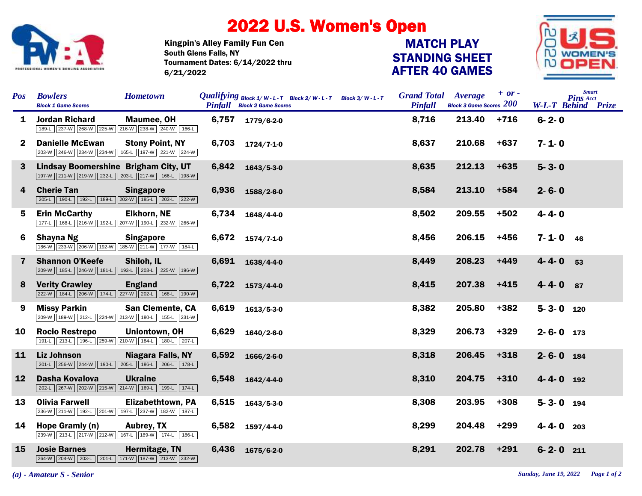

## 2022 U.S. Women's Open

Kingpin's Alley Family Fun Cen Tournament Dates: 6/14/2022 thru 6/21/2022 South Glens Falls, NY

## STANDING SHEET AFTER 40 GAMES MATCH PLAY



| <b>Pos</b>   | <b>Bowlers</b><br><b>Block 1 Game Scores</b>                                            | <b>Hometown</b>          |       | <i>Qualifying</i> $B$ lock $1/W - L - T$ Block $2/W - L - T$ Block $3/W - L - T$<br><b>Pinfall</b> Block 2 Game Scores | <b>Grand Total</b><br>Pinfall | Average<br><b>Block 3 Game Scores 200</b> | $+ or -$ |                 | <b>Smart</b><br><b>Pins Acct</b><br><b>W-L-T Behind Prize</b> |
|--------------|-----------------------------------------------------------------------------------------|--------------------------|-------|------------------------------------------------------------------------------------------------------------------------|-------------------------------|-------------------------------------------|----------|-----------------|---------------------------------------------------------------|
| 1            | <b>Jordan Richard</b><br>189-L 237-W 268-W 225-W 216-W 238-W 240-W 166-L                | Maumee, OH               | 6,757 | 1779/6-2-0                                                                                                             | 8,716                         | 213.40                                    | $+716$   | $6 - 2 - 0$     |                                                               |
| $\mathbf{2}$ | <b>Danielle McEwan</b><br>203-W 246-W 234-W 234-W 165-L 197-W 221-W 224-W               | <b>Stony Point, NY</b>   | 6,703 | 1724/7-1-0                                                                                                             | 8,637                         | 210.68                                    | $+637$   | $7 - 1 - 0$     |                                                               |
| $\mathbf{3}$ | Lindsay Boomershine Brigham City, UT<br>197-W 211-W 219-W 232-L 203-L 217-W 166-L 198-W |                          | 6,842 | $1643/5 - 3 - 0$                                                                                                       | 8,635                         | 212.13                                    | $+635$   | $5 - 3 - 0$     |                                                               |
| 4            | <b>Cherie Tan</b><br>205-L 190-L 192-L 189-L 202-W 185-L 203-L 222-W                    | <b>Singapore</b>         | 6,936 | 1588/2-6-0                                                                                                             | 8,584                         | 213.10                                    | $+584$   | $2 - 6 - 0$     |                                                               |
| 5.           | <b>Erin McCarthy</b><br>177-L 168-L 216-W 192-L 207-W 190-L 232-W 266-W                 | <b>Elkhorn, NE</b>       | 6,734 | 1648/4-4-0                                                                                                             | 8,502                         | 209.55                                    | $+502$   | $4 - 4 - 0$     |                                                               |
| 6            | Shayna Ng<br>186-W 233-W 206-W 192-W 185-W 211-W 177-W 184-L                            | <b>Singapore</b>         | 6,672 | $1574/7 - 1 - 0$                                                                                                       | 8,456                         | 206.15                                    | $+456$   | $7 - 1 - 0$ 46  |                                                               |
| $\mathbf{7}$ | <b>Shannon O'Keefe</b><br>209-W 185-L 246-W 181-L 193-L 203-L 225-W 196-W               | Shiloh, IL               | 6,691 | 1638/4-4-0                                                                                                             | 8,449                         | 208.23                                    | $+449$   | $4 - 4 - 0$     | 53                                                            |
| 8            | <b>Verity Crawley</b><br>222-W 184-L 206-W 174-L 227-W 202-L 168-L 190-W                | <b>England</b>           | 6,722 | $1573/4 - 4 - 0$                                                                                                       | 8,415                         | 207.38                                    | $+415$   | $4 - 4 - 0$     | 87                                                            |
| 9            | <b>Missy Parkin</b><br>209-W 189-W 212-L 224-W 213-W 180-L 155-L 231-W                  | <b>San Clemente, CA</b>  | 6,619 | $1613/5 - 3 - 0$                                                                                                       | 8,382                         | 205.80                                    | $+382$   | $5 - 3 - 0$ 120 |                                                               |
| 10           | <b>Rocio Restrepo</b><br>191-L 213-L 196-L 259-W 210-W 184-L 180-L 207-L                | Uniontown, OH            | 6,629 | 1640/2-6-0                                                                                                             | 8,329                         | 206.73                                    | $+329$   | $2 - 6 - 0$ 173 |                                                               |
| 11           | <b>Liz Johnson</b><br>201-L 256-W 244-W 190-L 205-L 186-L 206-L 178-L                   | <b>Niagara Falls, NY</b> | 6,592 | 1666/2-6-0                                                                                                             | 8,318                         | 206.45                                    | $+318$   | $2 - 6 - 0$     | 184                                                           |
| 12           | Dasha Kovalova<br>202-L 267-W 202-W 215-W 214-W 169-L 199-L 174-L                       | <b>Ukraine</b>           | 6,548 | $1642/4 - 4 - 0$                                                                                                       | 8,310                         | 204.75                                    | $+310$   | 4-4-0 192       |                                                               |
| 13           | <b>Olivia Farwell</b><br>236-W 211-W 192-L 201-W 197-L 237-W 182-W 187-L                | <b>Elizabethtown, PA</b> | 6,515 | $1643/5 - 3 - 0$                                                                                                       | 8,308                         | 203.95                                    | $+308$   | $5 - 3 - 0$ 194 |                                                               |
| 14           | Hope Gramly (n)<br>239-W 213-L 217-W 212-W 167-L 189-W 174-L 186-L                      | <b>Aubrey, TX</b>        | 6,582 | 1597/4-4-0                                                                                                             | 8,299                         | 204.48                                    | $+299$   | $4 - 4 - 0$ 203 |                                                               |
| 15           | <b>Josie Barnes</b><br>264-W 204-W 203-L 201-L 171-W 187-W 213-W 232-W                  | Hermitage, TN            | 6,436 | 1675/6-2-0                                                                                                             | 8,291                         | 202.78                                    | $+291$   | $6 - 2 - 0$ 211 |                                                               |